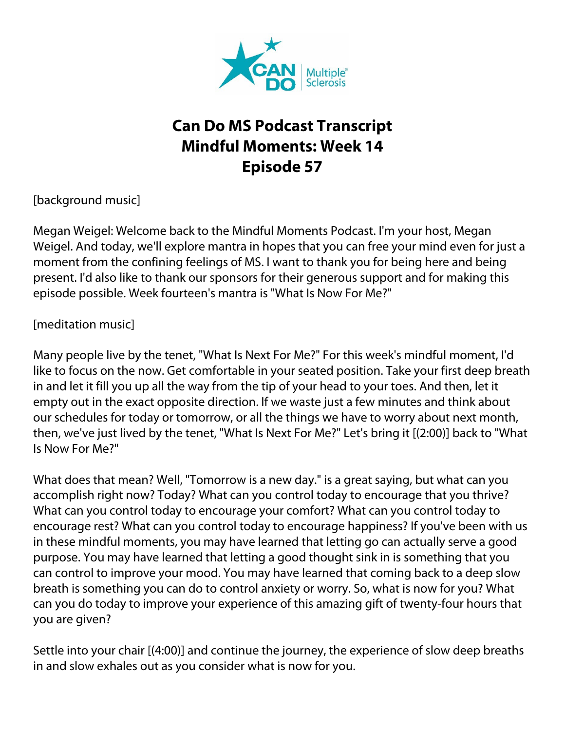

## **Can Do MS Podcast Transcript Mindful Moments: Week 14 Episode 57**

[background music]

Megan Weigel: Welcome back to the Mindful Moments Podcast. I'm your host, Megan Weigel. And today, we'll explore mantra in hopes that you can free your mind even for just a moment from the confining feelings of MS. I want to thank you for being here and being present. I'd also like to thank our sponsors for their generous support and for making this episode possible. Week fourteen's mantra is "What Is Now For Me?"

[meditation music]

Many people live by the tenet, "What Is Next For Me?" For this week's mindful moment, I'd like to focus on the now. Get comfortable in your seated position. Take your first deep breath in and let it fill you up all the way from the tip of your head to your toes. And then, let it empty out in the exact opposite direction. If we waste just a few minutes and think about our schedules for today or tomorrow, or all the things we have to worry about next month, then, we've just lived by the tenet, "What Is Next For Me?" Let's bring it [(2:00)] back to "What Is Now For Me?"

What does that mean? Well, "Tomorrow is a new day." is a great saying, but what can you accomplish right now? Today? What can you control today to encourage that you thrive? What can you control today to encourage your comfort? What can you control today to encourage rest? What can you control today to encourage happiness? If you've been with us in these mindful moments, you may have learned that letting go can actually serve a good purpose. You may have learned that letting a good thought sink in is something that you can control to improve your mood. You may have learned that coming back to a deep slow breath is something you can do to control anxiety or worry. So, what is now for you? What can you do today to improve your experience of this amazing gift of twenty-four hours that you are given?

Settle into your chair [(4:00)] and continue the journey, the experience of slow deep breaths in and slow exhales out as you consider what is now for you.